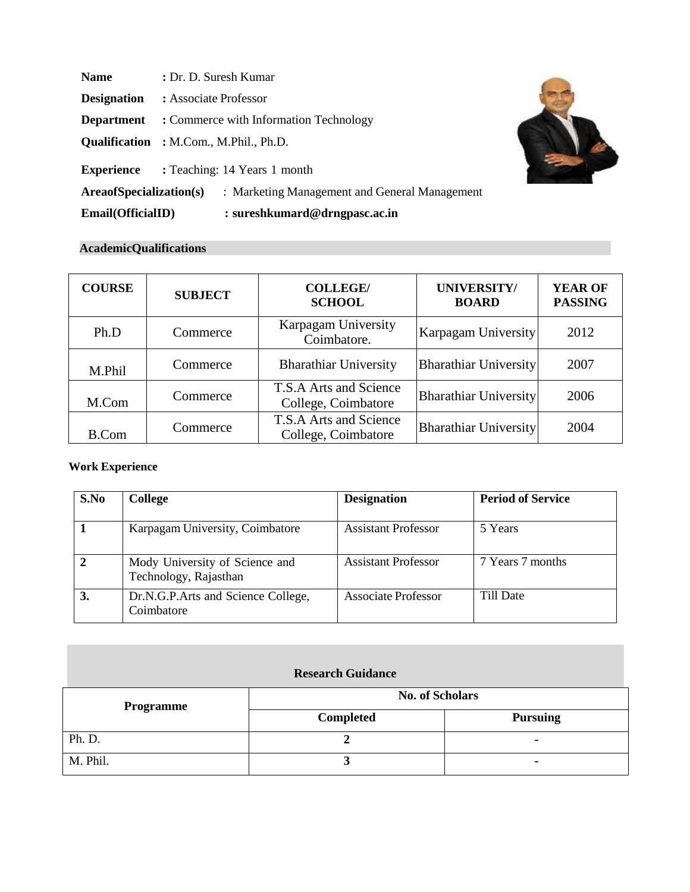| <b>Name</b>             | : Dr. D. Suresh Kumar                          |  |  |
|-------------------------|------------------------------------------------|--|--|
| <b>Designation</b>      | : Associate Professor                          |  |  |
| <b>Department</b>       | : Commerce with Information Technology         |  |  |
|                         | <b>Qualification</b> : M.Com., M.Phil., Ph.D.  |  |  |
|                         | <b>Experience</b> : Teaching: 14 Years 1 month |  |  |
| AreaofSpecialization(s) | : Marketing Management and General Management  |  |  |
| Email(OfficialID)       | $:$ sureshkumard@drngpasc.ac.in                |  |  |

## **AcademicQualifications**

| <b>COURSE</b> | <b>SUBJECT</b> | <b>COLLEGE/</b><br><b>SCHOOL</b>              | UNIVERSITY/<br><b>BOARD</b>  | <b>YEAR OF</b><br><b>PASSING</b> |
|---------------|----------------|-----------------------------------------------|------------------------------|----------------------------------|
| Ph.D          | Commerce       | Karpagam University<br>Coimbatore.            | Karpagam University          | 2012                             |
| M.Phil        | Commerce       | <b>Bharathiar University</b>                  | <b>Bharathiar University</b> | 2007                             |
| M.Com         | Commerce       | T.S.A Arts and Science<br>College, Coimbatore | <b>Bharathiar University</b> | 2006                             |
| <b>B.Com</b>  | Commerce       | T.S.A Arts and Science<br>College, Coimbatore | <b>Bharathiar University</b> | 2004                             |

# **Work Experience**

| S.No | <b>College</b>                                          | <b>Designation</b>         | <b>Period of Service</b> |
|------|---------------------------------------------------------|----------------------------|--------------------------|
|      | Karpagam University, Coimbatore                         | <b>Assistant Professor</b> | 5 Years                  |
| 2    | Mody University of Science and<br>Technology, Rajasthan | <b>Assistant Professor</b> | 7 Years 7 months         |
| 3.   | Dr.N.G.P.Arts and Science College,<br>Coimbatore        | <b>Associate Professor</b> | Till Date                |

## **Research Guidance**

| <b>Programme</b> | <b>No. of Scholars</b> |                 |  |
|------------------|------------------------|-----------------|--|
|                  | <b>Completed</b>       | <b>Pursuing</b> |  |
| Ph. D.           |                        |                 |  |
| M. Phil.         |                        |                 |  |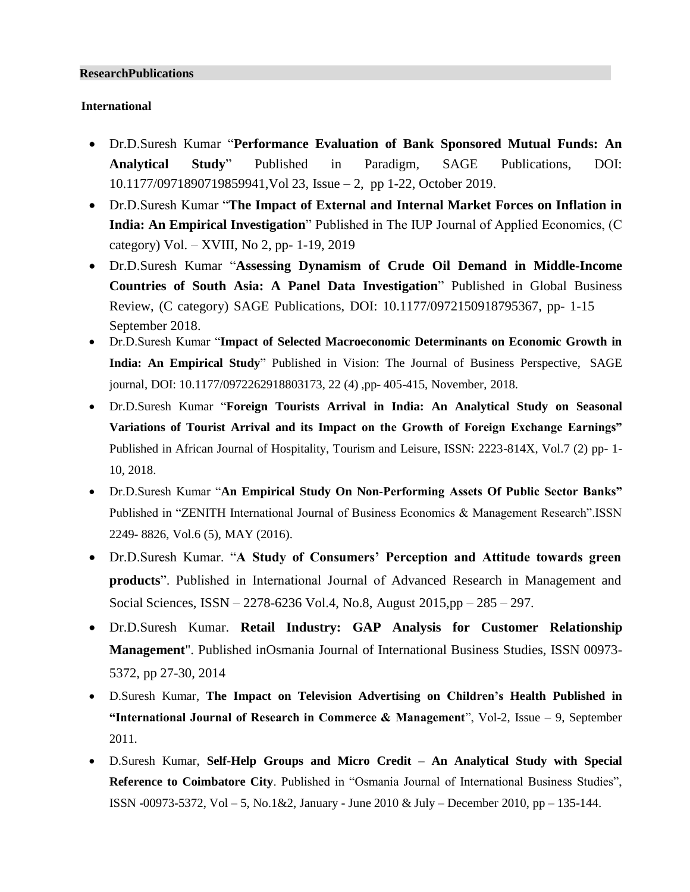#### **ResearchPublications**

### **International**

- Dr.D.Suresh Kumar "**Performance Evaluation of Bank Sponsored Mutual Funds: An Analytical Study**" Published in Paradigm, SAGE Publications, DOI: 10.1177/0971890719859941,Vol 23, Issue – 2, pp 1-22, October 2019.
- Dr.D.Suresh Kumar "**The Impact of External and Internal Market Forces on Inflation in India: An Empirical Investigation**" Published in The IUP Journal of Applied Economics, (C category) Vol. – XVIII, No 2, pp- 1-19, 2019
- Dr.D.Suresh Kumar "**Assessing Dynamism of Crude Oil Demand in Middle-Income Countries of South Asia: A Panel Data Investigation**" Published in Global Business Review, (C category) SAGE Publications, DOI: 10.1177/0972150918795367, pp- 1-15 September 2018.
- Dr.D.Suresh Kumar "**Impact of Selected Macroeconomic Determinants on Economic Growth in India: An Empirical Study**" Published in Vision: The Journal of Business Perspective, SAGE journal, DOI: 10.1177/0972262918803173, 22 (4) ,pp- 405-415, November, 2018.
- Dr.D.Suresh Kumar "**Foreign Tourists Arrival in India: An Analytical Study on Seasonal Variations of Tourist Arrival and its Impact on the Growth of Foreign Exchange Earnings"** Published in African Journal of Hospitality, Tourism and Leisure, ISSN: 2223-814X, Vol.7 (2) pp- 1- 10, 2018.
- Dr.D.Suresh Kumar "**An Empirical Study On Non-Performing Assets Of Public Sector Banks"** Published in "ZENITH International Journal of Business Economics & Management Research".ISSN 2249- 8826, Vol.6 (5), MAY (2016).
- Dr.D.Suresh Kumar. "**A Study of Consumers' Perception and Attitude towards green products**". Published in International Journal of Advanced Research in Management and Social Sciences, ISSN – 2278-6236 Vol.4, No.8, August 2015,pp – 285 – 297.
- Dr.D.Suresh Kumar. **Retail Industry: GAP Analysis for Customer Relationship Management**". Published inOsmania Journal of International Business Studies, ISSN 00973- 5372, pp 27-30, 2014
- D.Suresh Kumar, **The Impact on Television Advertising on Children's Health Published in "International Journal of Research in Commerce & Management**", Vol-2, Issue – 9, September 2011.
- D.Suresh Kumar, **Self-Help Groups and Micro Credit – An Analytical Study with Special Reference to Coimbatore City**. Published in "Osmania Journal of International Business Studies", ISSN -00973-5372, Vol – 5, No.1&2, January - June 2010 & July – December 2010, pp – 135-144.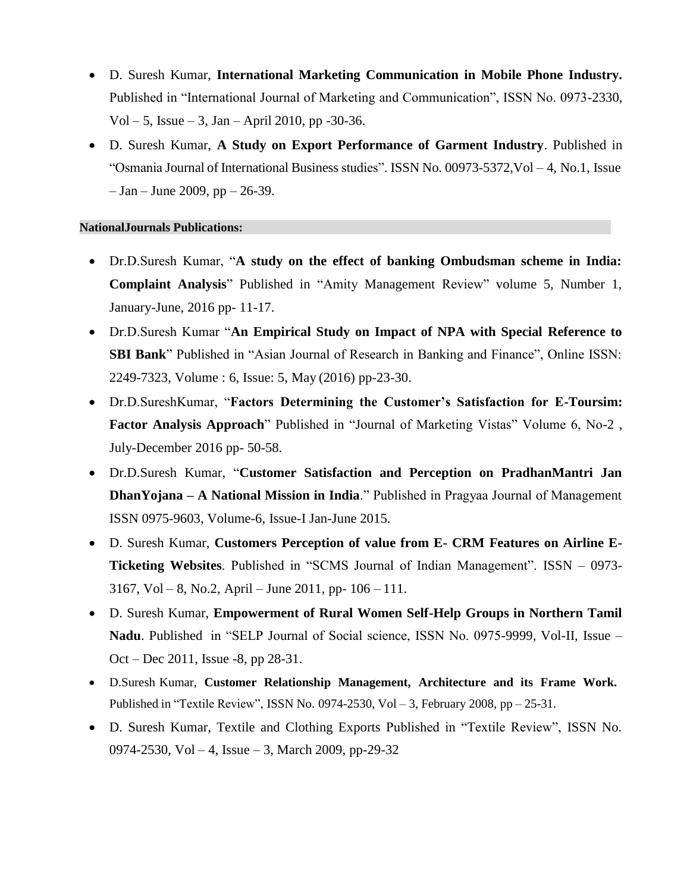- D. Suresh Kumar, **International Marketing Communication in Mobile Phone Industry.** Published in "International Journal of Marketing and Communication", ISSN No. 0973-2330, Vol – 5, Issue – 3, Jan – April 2010, pp -30-36.
- D. Suresh Kumar, **A Study on Export Performance of Garment Industry**. Published in "Osmania Journal of International Business studies". ISSN No. 00973-5372,Vol – 4, No.1, Issue  $-$  Jan – June 2009, pp – 26-39.

#### **NationalJournals Publications:**

- Dr.D.Suresh Kumar, "**A study on the effect of banking Ombudsman scheme in India: Complaint Analysis**" Published in "Amity Management Review" volume 5, Number 1, January-June, 2016 pp- 11-17.
- Dr.D.Suresh Kumar "**An Empirical Study on Impact of NPA with Special Reference to SBI Bank**" Published in "Asian Journal of Research in Banking and Finance", Online ISSN: 2249-7323, Volume : 6, Issue: 5, May (2016) pp-23-30.
- Dr.D.SureshKumar, "**Factors Determining the Customer's Satisfaction for E-Toursim: Factor Analysis Approach**" Published in "Journal of Marketing Vistas" Volume 6, No-2 , July-December 2016 pp- 50-58.
- Dr.D.Suresh Kumar, "**Customer Satisfaction and Perception on PradhanMantri Jan DhanYojana – A National Mission in India**." Published in Pragyaa Journal of Management ISSN 0975-9603, Volume-6, Issue-I Jan-June 2015.
- D. Suresh Kumar, **Customers Perception of value from E- CRM Features on Airline E-Ticketing Websites**. Published in "SCMS Journal of Indian Management". ISSN – 0973- 3167, Vol – 8, No.2, April – June 2011, pp-  $106 - 111$ .
- D. Suresh Kumar, **Empowerment of Rural Women Self-Help Groups in Northern Tamil Nadu**. Published in "SELP Journal of Social science, ISSN No. 0975-9999, Vol-II, Issue – Oct – Dec 2011, Issue -8, pp 28-31.
- D.Suresh Kumar, **Customer Relationship Management, Architecture and its Frame Work.** Published in "Textile Review", ISSN No. 0974-2530, Vol – 3, February 2008, pp – 25-31.
- D. Suresh Kumar, Textile and Clothing Exports Published in "Textile Review", ISSN No. 0974-2530, Vol – 4, Issue – 3, March 2009, pp-29-32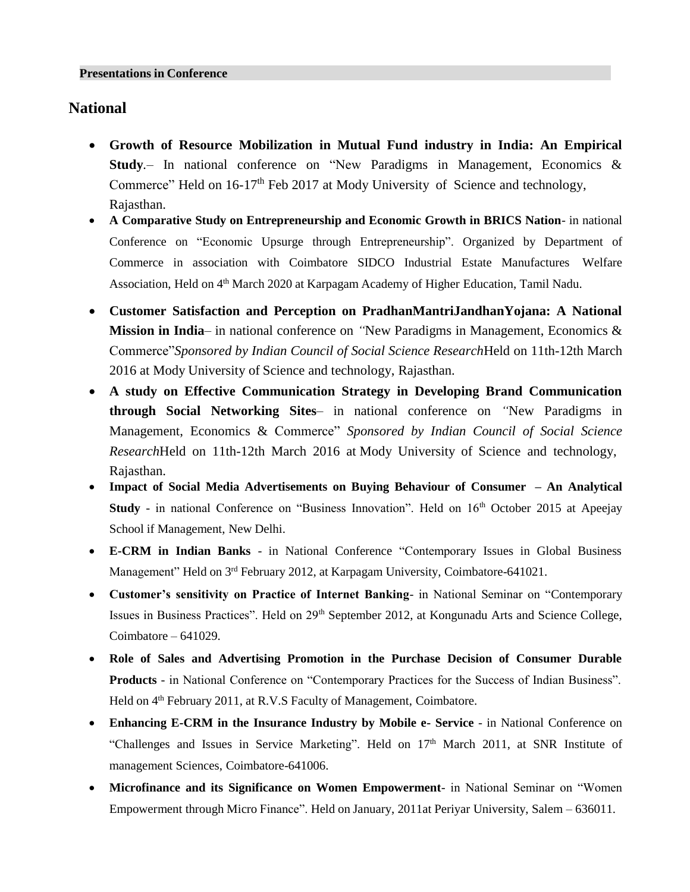## **National**

- **Growth of Resource Mobilization in Mutual Fund industry in India: An Empirical Study***.*– In national conference on "New Paradigms in Management, Economics & Commerce" Held on  $16-17<sup>th</sup>$  Feb 2017 at Mody University of Science and technology, Rajasthan.
- **A Comparative Study on Entrepreneurship and Economic Growth in BRICS Nation** in national Conference on "Economic Upsurge through Entrepreneurship". Organized by Department of Commerce in association with Coimbatore SIDCO Industrial Estate Manufactures Welfare Association, Held on 4<sup>th</sup> March 2020 at Karpagam Academy of Higher Education, Tamil Nadu.
- **Customer Satisfaction and Perception on PradhanMantriJandhanYojana: A National Mission in India**– in national conference on *"*New Paradigms in Management, Economics & Commerce"*Sponsored by Indian Council of Social Science Research*Held on 11th-12th March 2016 at Mody University of Science and technology, Rajasthan.
- **A study on Effective Communication Strategy in Developing Brand Communication through Social Networking Sites**– in national conference on *"*New Paradigms in Management, Economics & Commerce" *Sponsored by Indian Council of Social Science Research*Held on 11th-12th March 2016 at Mody University of Science and technology, Rajasthan.
- **Impact of Social Media Advertisements on Buying Behaviour of Consumer – An Analytical Study** - in national Conference on "Business Innovation". Held on 16<sup>th</sup> October 2015 at Apeejay School if Management, New Delhi.
- **E-CRM in Indian Banks** in National Conference "Contemporary Issues in Global Business Management" Held on 3<sup>rd</sup> February 2012, at Karpagam University, Coimbatore-641021.
- **Customer's sensitivity on Practice of Internet Banking** in National Seminar on "Contemporary Issues in Business Practices". Held on 29<sup>th</sup> September 2012, at Kongunadu Arts and Science College, Coimbatore – 641029.
- **Role of Sales and Advertising Promotion in the Purchase Decision of Consumer Durable Products** - in National Conference on "Contemporary Practices for the Success of Indian Business". Held on 4<sup>th</sup> February 2011, at R.V.S Faculty of Management, Coimbatore.
- **Enhancing E-CRM in the Insurance Industry by Mobile e- Service**  in National Conference on "Challenges and Issues in Service Marketing". Held on 17<sup>th</sup> March 2011, at SNR Institute of management Sciences, Coimbatore-641006.
- **Microfinance and its Significance on Women Empowerment** in National Seminar on "Women Empowerment through Micro Finance". Held on January, 2011at Periyar University, Salem – 636011.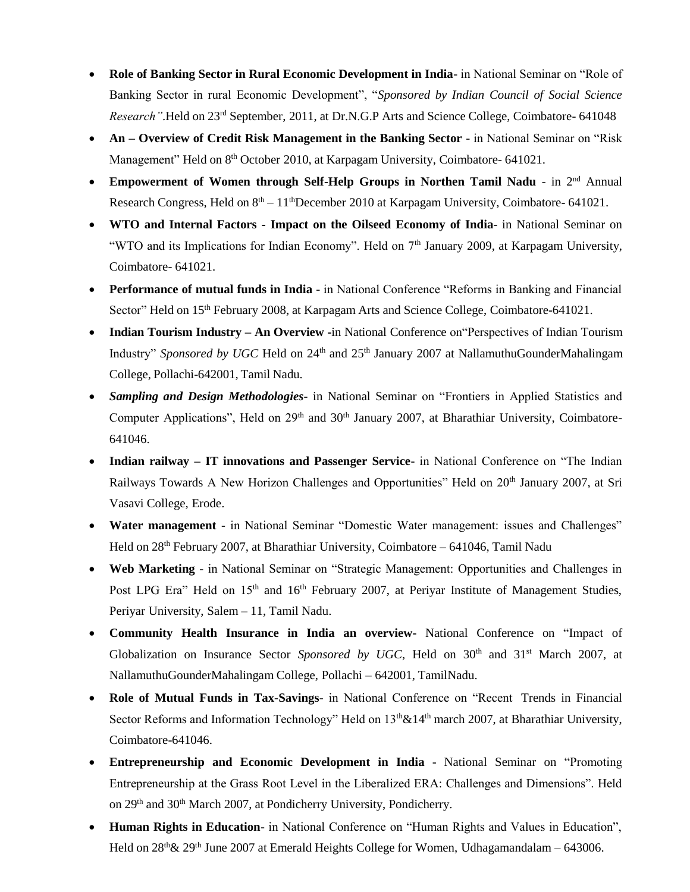- **Role of Banking Sector in Rural Economic Development in India** in National Seminar on "Role of Banking Sector in rural Economic Development", "*Sponsored by Indian Council of Social Science Research"*.Held on 23rd September, 2011, at Dr.N.G.P Arts and Science College, Coimbatore- 641048
- **An Overview of Credit Risk Management in the Banking Sector in National Seminar on "Risk"** Management" Held on 8<sup>th</sup> October 2010, at Karpagam University, Coimbatore- 641021.
- **Empowerment of Women through Self-Help Groups in Northen Tamil Nadu**  in 2nd Annual Research Congress, Held on  $8<sup>th</sup> - 11<sup>th</sup>$ December 2010 at Karpagam University, Coimbatore- 641021.
- **WTO and Internal Factors - Impact on the Oilseed Economy of India** in National Seminar on "WTO and its Implications for Indian Economy". Held on 7<sup>th</sup> January 2009, at Karpagam University, Coimbatore- 641021.
- **Performance of mutual funds in India**  in National Conference "Reforms in Banking and Financial Sector" Held on 15<sup>th</sup> February 2008, at Karpagam Arts and Science College, Coimbatore-641021.
- **Indian Tourism Industry – An Overview -**in National Conference on"Perspectives of Indian Tourism Industry" *Sponsored by UGC* Held on 24<sup>th</sup> and 25<sup>th</sup> January 2007 at NallamuthuGounderMahalingam College, Pollachi-642001, Tamil Nadu.
- *Sampling and Design Methodologies-* in National Seminar on "Frontiers in Applied Statistics and Computer Applications", Held on 29<sup>th</sup> and 30<sup>th</sup> January 2007, at Bharathiar University, Coimbatore-641046.
- **Indian railway – IT innovations and Passenger Service** in National Conference on "The Indian Railways Towards A New Horizon Challenges and Opportunities" Held on 20<sup>th</sup> January 2007, at Sri Vasavi College, Erode.
- **Water management**  in National Seminar "Domestic Water management: issues and Challenges" Held on  $28<sup>th</sup>$  February 2007, at Bharathiar University, Coimbatore – 641046, Tamil Nadu
- **Web Marketing** in National Seminar on "Strategic Management: Opportunities and Challenges in Post LPG Era" Held on 15<sup>th</sup> and 16<sup>th</sup> February 2007, at Periyar Institute of Management Studies, Periyar University, Salem – 11, Tamil Nadu.
- **Community Health Insurance in India an overview-** National Conference on "Impact of Globalization on Insurance Sector Sponsored by UGC, Held on 30<sup>th</sup> and 31<sup>st</sup> March 2007, at NallamuthuGounderMahalingam College, Pollachi – 642001, TamilNadu.
- **Role of Mutual Funds in Tax-Savings** in National Conference on "Recent Trends in Financial Sector Reforms and Information Technology" Held on 13<sup>th</sup> & 14<sup>th</sup> march 2007, at Bharathiar University, Coimbatore-641046.
- **Entrepreneurship and Economic Development in India** National Seminar on "Promoting Entrepreneurship at the Grass Root Level in the Liberalized ERA: Challenges and Dimensions". Held on 29<sup>th</sup> and 30<sup>th</sup> March 2007, at Pondicherry University, Pondicherry.
- **Human Rights in Education** in National Conference on "Human Rights and Values in Education", Held on  $28<sup>th</sup> \& 29<sup>th</sup>$  June 2007 at Emerald Heights College for Women, Udhagamandalam – 643006.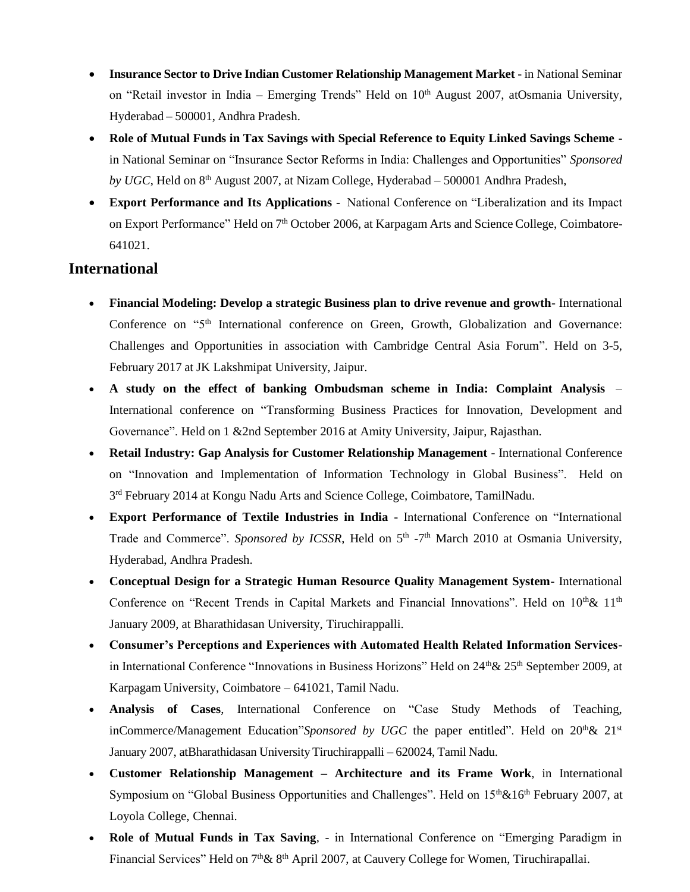- **Insurance Sector to Drive Indian Customer Relationship Management Market** in National Seminar on "Retail investor in India – Emerging Trends" Held on 10<sup>th</sup> August 2007, atOsmania University, Hyderabad – 500001, Andhra Pradesh.
- **Role of Mutual Funds in Tax Savings with Special Reference to Equity Linked Savings Scheme**  in National Seminar on "Insurance Sector Reforms in India: Challenges and Opportunities" *Sponsored* by *UGC*, Held on 8<sup>th</sup> August 2007, at Nizam College, Hyderabad – 500001 Andhra Pradesh,
- **Export Performance and Its Applications**  National Conference on "Liberalization and its Impact on Export Performance" Held on 7<sup>th</sup> October 2006, at Karpagam Arts and Science College, Coimbatore-641021.

# **International**

- **Financial Modeling: Develop a strategic Business plan to drive revenue and growth** International Conference on "5<sup>th</sup> International conference on Green, Growth, Globalization and Governance: Challenges and Opportunities in association with Cambridge Central Asia Forum". Held on 3-5, February 2017 at JK Lakshmipat University, Jaipur.
- **A study on the effect of banking Ombudsman scheme in India: Complaint Analysis** International conference on "Transforming Business Practices for Innovation, Development and Governance". Held on 1 &2nd September 2016 at Amity University, Jaipur, Rajasthan.
- **Retail Industry: Gap Analysis for Customer Relationship Management**  International Conference on "Innovation and Implementation of Information Technology in Global Business". Held on 3<sup>rd</sup> February 2014 at Kongu Nadu Arts and Science College, Coimbatore, TamilNadu.
- **Export Performance of Textile Industries in India**  International Conference on "International Trade and Commerce". Sponsored by ICSSR, Held on 5<sup>th</sup> -7<sup>th</sup> March 2010 at Osmania University, Hyderabad, Andhra Pradesh.
- **Conceptual Design for a Strategic Human Resource Quality Management System** International Conference on "Recent Trends in Capital Markets and Financial Innovations". Held on 10<sup>th</sup>& 11<sup>th</sup> January 2009, at Bharathidasan University, Tiruchirappalli.
- **Consumer's Perceptions and Experiences with Automated Health Related Information Services**in International Conference "Innovations in Business Horizons" Held on  $24^{\text{th}}\& 25^{\text{th}}$  September 2009, at Karpagam University, Coimbatore – 641021, Tamil Nadu.
- **Analysis of Cases**, International Conference on "Case Study Methods of Teaching, inCommerce/Management Education"Sponsored by UGC the paper entitled". Held on 20<sup>th</sup>& 21<sup>st</sup> January 2007, atBharathidasan University Tiruchirappalli – 620024, Tamil Nadu.
- **Customer Relationship Management – Architecture and its Frame Work***,* in International Symposium on "Global Business Opportunities and Challenges". Held on  $15<sup>th</sup>$ & $16<sup>th</sup>$  February 2007, at Loyola College, Chennai.
- **Role of Mutual Funds in Tax Saving***,*  in International Conference on "Emerging Paradigm in Financial Services" Held on 7<sup>th</sup> & 8<sup>th</sup> April 2007, at Cauvery College for Women, Tiruchirapallai.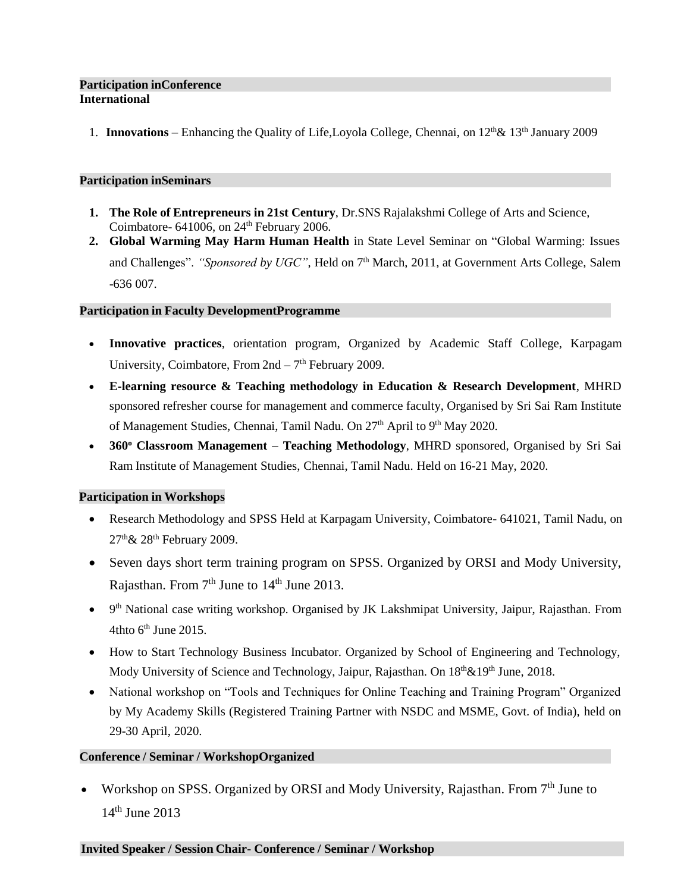#### **Participation inConference International**

1. **Innovations** – Enhancing the Quality of Life, Loyola College, Chennai, on  $12^{th}\& 13^{th}$  January 2009

#### **Participation inSeminars**

- **1. The Role of Entrepreneurs in 21st Century**, Dr.SNS Rajalakshmi College of Arts and Science, Coimbatore- 641006, on  $24<sup>th</sup>$  February 2006.
- **2. Global Warming May Harm Human Health** in State Level Seminar on "Global Warming: Issues and Challenges". "Sponsored by UGC", Held on 7<sup>th</sup> March, 2011, at Government Arts College, Salem -636 007.

#### **Participation in Faculty DevelopmentProgramme**

- **Innovative practices**, orientation program, Organized by Academic Staff College, Karpagam University, Coimbatore, From  $2nd - 7<sup>th</sup>$  February 2009.
- **E-learning resource & Teaching methodology in Education & Research Development**, MHRD sponsored refresher course for management and commerce faculty, Organised by Sri Sai Ram Institute of Management Studies, Chennai, Tamil Nadu. On 27<sup>th</sup> April to 9<sup>th</sup> May 2020.
- **360<sup>o</sup> Classroom Management – Teaching Methodology**, MHRD sponsored, Organised by Sri Sai Ram Institute of Management Studies, Chennai, Tamil Nadu. Held on 16-21 May, 2020.

### **Participation in Workshops**

- Research Methodology and SPSS Held at Karpagam University, Coimbatore- 641021, Tamil Nadu, on  $27<sup>th</sup> \& 28<sup>th</sup>$  February 2009.
- Seven days short term training program on SPSS. Organized by ORSI and Mody University, Rajasthan. From  $7<sup>th</sup>$  June to  $14<sup>th</sup>$  June 2013.
- 9<sup>th</sup> National case writing workshop. Organised by JK Lakshmipat University, Jaipur, Rajasthan. From  $4$ thto 6<sup>th</sup> June 2015.
- How to Start Technology Business Incubator. Organized by School of Engineering and Technology, Mody University of Science and Technology, Jaipur, Rajasthan. On  $18<sup>th</sup> \& 19<sup>th</sup>$  June, 2018.
- National workshop on "Tools and Techniques for Online Teaching and Training Program" Organized by My Academy Skills (Registered Training Partner with NSDC and MSME, Govt. of India), held on 29-30 April, 2020.

### **Conference / Seminar / WorkshopOrganized**

• Workshop on SPSS. Organized by ORSI and Mody University, Rajasthan. From 7th June to 14<sup>th</sup> June 2013

### **Invited Speaker / Session Chair- Conference / Seminar / Workshop**